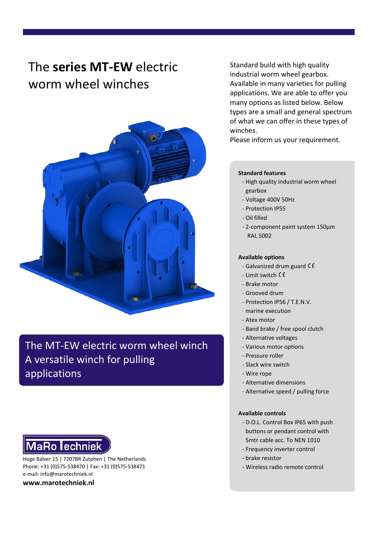## The **series MT-EW** electric worm wheel winches



The MT-EW electric worm wheel winch A versatile winch for pulling applications

# **MaRo lechniek**

Hoge Balver 15 | 7207BR Zutphen | The Netherlands Phone: +31 (0)575-538470 | Fax: +31 (0)575-538471 e-mail: info@marotechniek.nl

**www.marotechniek.nl**

Standard build with high quality industrial worm wheel gearbox. Available in many varieties for pulling applications. We are able to offer you many options as listed below. Below types are a small and general spectrum of what we can offer in these types of winches.

Please inform us your requirement.

#### **Standard features**

- High quality industrial worm wheel gearbox
- Voltage 400V 50Hz
- Protection IP55
- Oil filled
- 2-component paint system 150μm RAL 5002

#### **Available options**

- Galvanized drum guard
- Limit switch
- Brake motor
- Grooved drum
- Protection IP56 / T.E.N.V. marine execution
- 
- Atex motor
- Band brake / free spool clutch
- Alternative voltages
- Various motor options
- Pressure roller
- Slack wire switch
- Wire rope
- Alternative dimensions
- Alternative speed / pulling force

#### **Available controls**

- D.O.L. Control Box IP65 with push buttons or pendant control with 5mtr cable acc. To NEN 1010
- Frequency inverter control
- brake resistor
- Wireless radio remote control